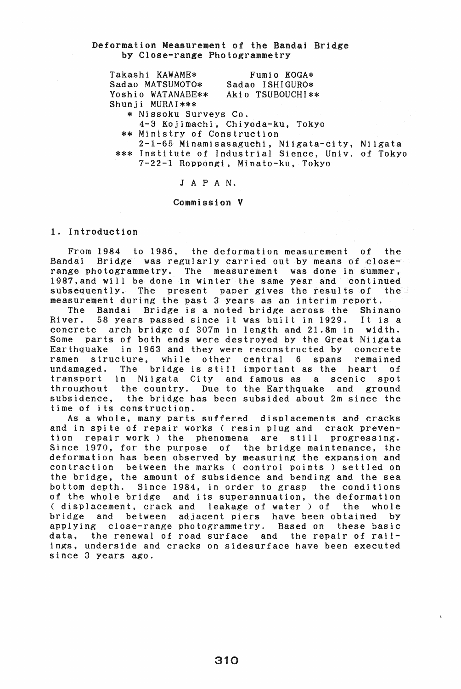#### Deformation Measurement of the Bandai Bridge by Close-range Photogrammetry

Takashi KAWAME\* Sadao MATSUMOTO\* Yoshio WATANABE\*\* Shunji MURAI\*\*\* Fumio KOGA\* Sadao ISHIGURO\* Akio TSUBOUCHI\*\* \* Nissoku Surveys Co. 4-3 Kojimachi, Chiyoda-ku, Tokyo \*\* Ministry of Construction 2-1-65 Minamisasaguchi, Niigata-city, Niigata \*\*\* Institute of Industrial Sience, Univ. of Tokyo

7-22-1 Roppongi, Minato-ku, Tokyo

### <sup>J</sup>A PAN.

#### Commission V

#### 1. Introduction

From 1984 to 1986, the deformation measurement of the Bandai Bridge was regularly carried out by means of closerange photogrammetry. The measurement was done in summer, 1987,and will be done in winter the same year and continued subsequently. The present paper gives the results of measurement during the past 3 years as an interim report.

The Bandai Bridge is a noted bridge across the Shinano River. 58 years passed since it was built in 1929. concrete arch bridge of 307m in length and 21.8m in width. Some parts of both ends were destroyed by the Great Niigata Earthquake in 1963 and they were reconstructed by concrete ramen structure, while other central 6 spans remained undamaged. The bridge is still important as the heart of Niigata City and famous as a scenic throughout the country. Due to the Earthquake and ground subsidence, the bridge has been subsided about 2m since the time of its construction.

As a whole, many parts suffered displacements and cracks and in spite of repair works ( resin plug and crack prevention repair work) the phenomena are still progressing. Since 1970, for the purpose of the bridge maintenance. the deformation has been observed by measuring the expansion and contraction between the marks ( control points) settled on the bridge, the amount of subsidence and bending and the sea bottom depth. Since 1984, in order to grasp the conditions of the whole bridge and its superannuation, the deformation<br>( displacement, crack and leakage of water ) of the whole ( displacement, crack and leakage of water ) of the whole<br>bridge and between adjacent piers have been obtained by between adjacent piers have been obtained by<br>pse-range photogrammetry. Based on these basic applying close-range photogrammetry. Based on data, the renewal of road surface and the repair of railings, underside and cracks on sidesurface have been executed since 3 years ago.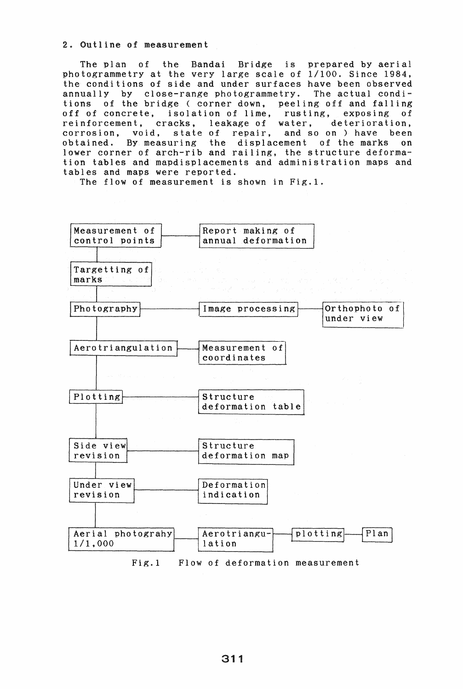#### 2. Outline of measurement

The plan of the Bandai Bridge is prepared by aerial photogrammetry at the very large scale of 1/100. Since 1984. the conditions of side and under surfaces have been observed annually by close-range photogrammetry. The actual conditions of the bridge ( corner down, peeling off and falling off of concrete, isolation of lime, rusting, exposing of reinforcement, cracks, leakage of water, deterioration, reinforcement, cracks, leakage of water, corrosion, void, state of repair, and so on ) have been obtained. By measuring the displacement of the marks on lower corner of arch-rib and railing, the structure deformation tables and mapdisplacements and administration maps and tables and maps were reported.

The flow of measurement is shown in Fig.1.

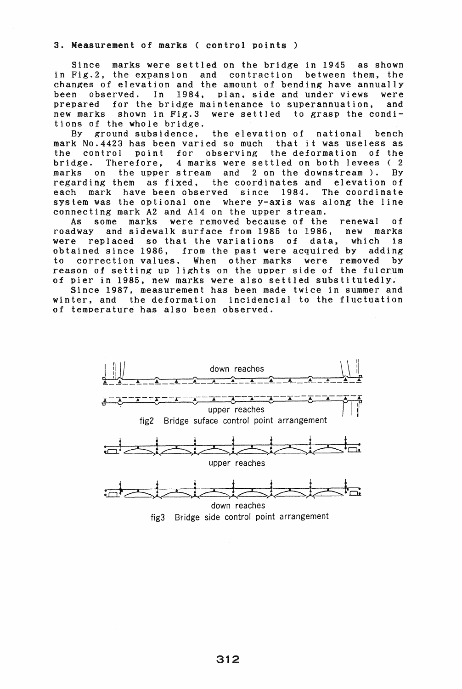#### 3. Measurement of marks ( control points)

Since marks were settled on the bridge in 1945 as shown in Fig.2, the expansion and contraction between them, the changes of elevation and the amount of bending have annually been observed. In 1984, plan, side and under views were prepared for the bridge maintenance to superannuation, and new marks shown in Fig.3 were settled to grasp the conditions of the whole bridge.

By ground subsidence, the elevation of national bench mark No.4423 has been varied so much that it was useless as the control point for observing the deformation of the bridge. Therefore, 4 marks were settled on both levees ( 2 marks on the upper stream and 2 on the downstream). By regarding them as fixed. the coordinates and elevation of each mark have been observed since 1984. The coordinate system was the optional one where y-axis was along the line connecting mark A2 and A14 on the upper stream.

As some marks were removed because of the renewal of roadway and sidewalk surface from 1985 to 1986, new marks were replaced so that the variations of data, which is obtained since 1986, from the past were acquired by adding to correction values. When other marks were removed by reason of setting up lights on the upper side of the fulcrum of pier in 1985, new marks were also settled substitutedly.

Since 1987, measurement has been made twice in summer and winter, and the deformation incidencial to the fluctuation of temperature has also been observed.



fig3 Bridge side control point arrangement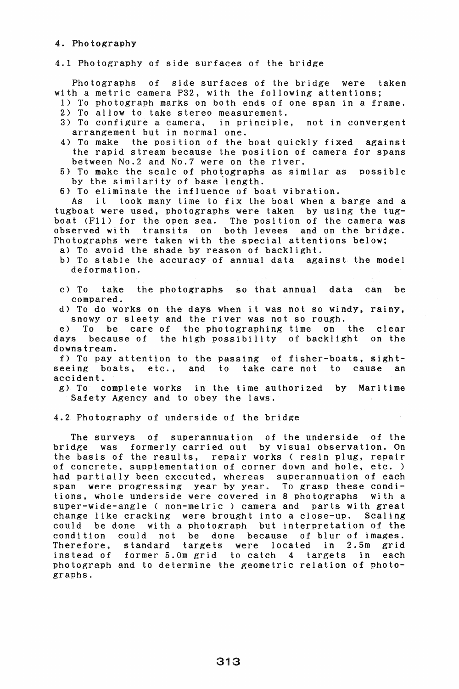#### 4. Photography

#### 4.1 Photography of side surfaces of the bridge

Photographs of side surfaces of the bridge were taken with a metric camera P32, with the following attentions;

- 1) To photograph marks on both ends of one span in a frame. 2) To allow to take stereo measurement.
- 3) To configure a camera, in principle, not in convergent arrangement but in normal one.
- 4) To make the position of the boat quickly fixed against the rapid stream because the position of camera for spans between No.2 and No.7 were on the river.
- 5) To make the scale of photographs as similar as possible by the similarity of base'length.

6) To eliminate the influence of boat vibration.

As it took many time to fix the boat when a barge and a tugboat were used, photographs were taken by using the tugboat (FII) for the open sea. The position of the camera was observed with transits on both levees and on the bridge. Photographs were taken with the special attentions below;

- a) To avoid the shade by reason of backlight.
- b) To stable the accuracy of annual data against the model deformation.
- c) To take the photographs so that annual data can be compared.
- d) To do works on the days when it was not so windy, rainy, snowy or sleety and the river was not so rough.

e) To be care of the photographing time on the clear days because of the high possibility of backlight on the downstream.

f) To pay attention to the passing of fisher-boats, sightseeing boats, etc., and to take care not to cause an accident.

g) To complete works in the time authorized by Maritime Safety Agency and to obey the laws.

4.2 Photography of underside of the bridge

The surveys of superannuation of the underside of the bridge was formerly carried out by visual observation. On the basis of the results, repair works ( resin plug, repair of concrete, supplementation of corner down and hole, etc. ) ar concrete, supprementation of corner about and hore, ever  $\frac{1}{2}$ span were progressing year by year. To grasp these conditions, whole underside were covered in 8 photographs with a super-wide-angle ( non-metric) camera and parts with great change like cracking were brought into a close-up. Scaling could be done with a photograph but interpretation of the condition could not be done because of blur of images. Therefore, standard targets were located in 2.5m grid instead of former 5.0m grid to catch 4 targets in each photograph and to determine the geometric relation of photographs.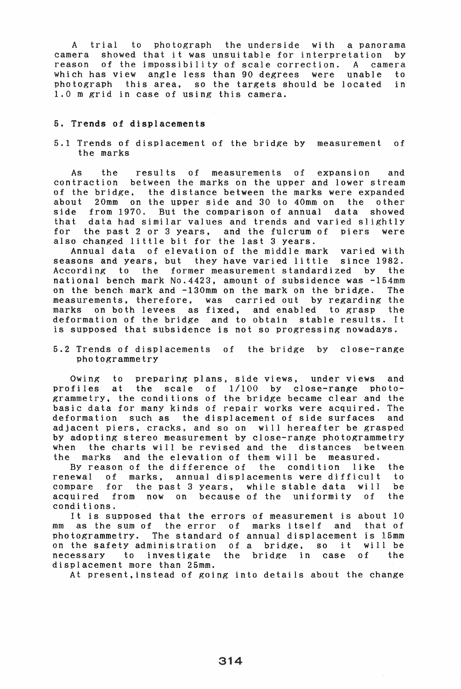A trial to photograph the underside with a panorama camera showed that it was unsuitable for interpretation reason of the impossibility of scale correction. A camera which has view angle less than 90 degrees were unable to photograph this area, so the targets should be located in 1.0 m grid in case of using this camera.

#### 5. Trends of displacements

5.1 Trends of displacement of the bridge by measurement of the marks

As the results of measurements of expansion and contraction between the marks on the upper and lower stream of the bridge. the distance between the marks were expanded about 20mm on the upper side and 30 to 40mm on the other side from 1970. But the comparison of annual data showed that data had similar values and trends and varied slightly for the past 2 or 3 years, and the fulcrum of piers were also changed little bit for the last 3 years.

Annual data of elevation of the middle mark varied with seasons and years, but they have varied little since 1982. According to the former measurement standardized by the national bench mark No.4423, amount of subsidence was -154mm on the bench mark and -130mm on the mark on the bridge. The measurements, therefore, was carried out by regarding the marks on both levees as fixed, and enabled to grasp the deformation of the bridge and to obtain stable results. It is supposed that subsidence is not so progressing nowadays.

5.2 Trends of displacements of the bridge by close-range photogrammetry

Owing to preparing plans, side views, under views and profiles at the scale of  $1/100$  by close-range photogrammetry, the conditions of the bridge became clear and the basic data for many kinds of repair works were acquired. The deformation such as the displacement of side surfaces and adjacent piers, cracks, and so on will hereafter be grasped by adopting stereo measurement by close-range photogrammetry when the charts will be revised and the distances between the marks and the elevation of them will be measured.

By reason of the difference of the condition like the ewal of marks. annual displacements were difficult to renewal of marks, annual displacements were difficult to compare for the past 3 years, while stable data will be acquired from now on because of the uniformity of the conditions.

It is supposed that the errors of measurement is about 10 mm as the sum of the error of marks itself and that of photogrammetry. The standard of annual displacement is I5mm on the safety administration of a bridge, so it will be<br>necessary to investigate the bridge in case of the necessary to investigate the bridge in case of displacement more than 25mm.

At present,instead of going into details about the change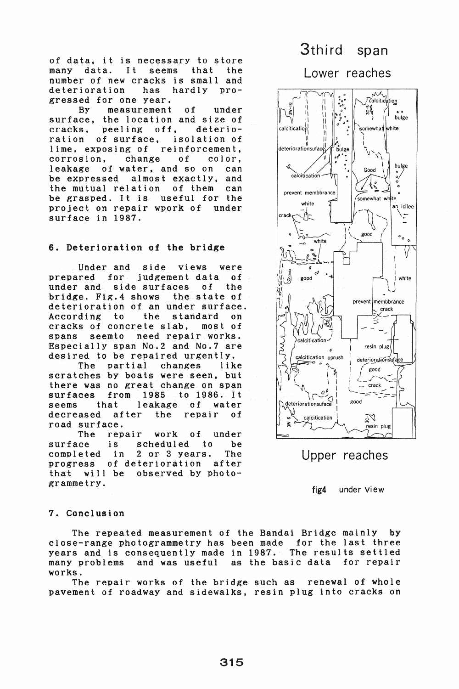of data, it is necessary to store<br>many data. It seems that the many data. It seems number of new cracks is small and<br>deterioration has hardly prodeterioration gressed for one year.

By measurement of under surface, the location and size of<br>cracks, peeling off, deteriocracks, peeling off,<br>ration of surface, is isolation of lime, exposing of reinforcement. corrosion, change of color, leakage of water, and so on can be expressed almost exactly, and the mutual relation of them can be grasped. It is useful for the<br>project on repair wpork of under project on repair wpork of surface in 1987.

#### 6. Deterioration of the bridge

Under and side views were<br>prepared for judgement data of prepared for judgement data of<br>under and side surfaces of the side surfaces of the<br> $\therefore$  4 shows the state of bridge. Fig.  $4$  shows deterioration of an under surface.<br>According to the standard on According to the standard on<br>cracks of concrete slab. most of cracks of concrete slab,<br>spans seemto need repa spans seemto need repair works. Especially span No.2 and No.7 are

desired to be repaired urgently. partial scratches by boats were seen, but there was no great change on span surfaces from 1985 to 1986. It it leakage of water<br>after the repair of decreased road surface.

The repair work of under surface is scheduled to be completed in 2 or 3 years. The progress of deterioration that will be observed by photogrammetry.

# 3third span

Lower reaches



Upper reaches

fig4 under view

#### 7. Conclusion

The repeated measurement of the Bandai Bridge mainly by close-range photogrammetry has been made for the last three years and is consequently made in 1987. The results settled many problems and was useful works.

The repair works of the bridge such as renewal of whole pavement of roadway and sidewalks, resin plug into cracks on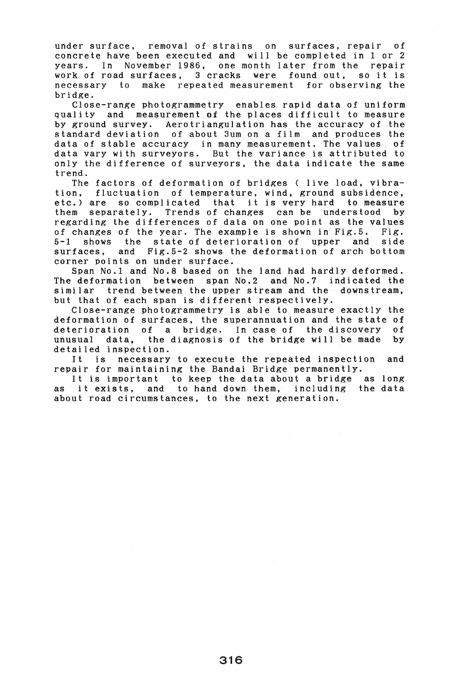under surface, removal of strains on surfaces, repair of concrete have been executed and will be completed in 1 or 2 years. In November 1986, one month later from the repair work of road surfaces, 3 cracks were found out, so it is necessary to make repeated measurement for observing the bridge.

Close-range photogrammetry enables rapid data of uniform quality and measurement of the places difficult to measure by ground survey. Aerotriangulation has the accuracy of the standard deviation of about 3um on a film and produces the data of stable accuracy in many measurement. The values of data vary with surveyors. But the variance is attributed to only the difference of surveyors, the data indicate the same trend.

The factors of deformation of bridges ( live load, vibration, fluctuation of temperature, wind, ground subsidence, etc.) are so complicated that it is very hard to measure them separately. Trends of changes can be understood by regarding the differences of data on one point as the values of changes of the year. The example is shown in Fig.5. Fig. 5-1 shows the state of deterioration of upper and side surfaces, and Fig.5-2 shows the deformation of arch bottom corner points on under surface.

Span No.1 and No.8 based on the land had hardly deformed. The deformation between span No.2 and No.7 indicated the similar trend between the upper stream and the downstream, but that of each span is different respectively.

Close-range photogrammetry is able to measure exactly the deformation of surfaces, the superannuation and the state of deterioration of a bridge. In case of the discovery of unusual data. the diagnosis of the bridge will be made by unusual data, the diagnosis of the bridge will be made detailed inspection.

It is necessary to execute the repeated inspection and repair for maintaining the Bandai Bridge permanently.

It is important to keep the data about a bridge as long as it exists, and to hand down them, including the data about road circumstances, to the next generation.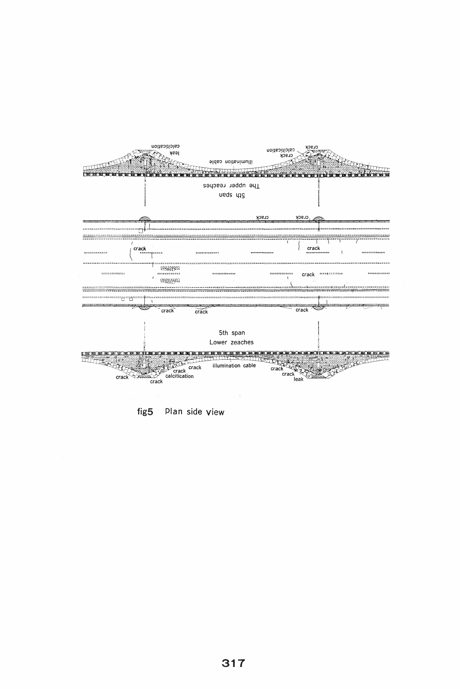

fig5 Plan side view